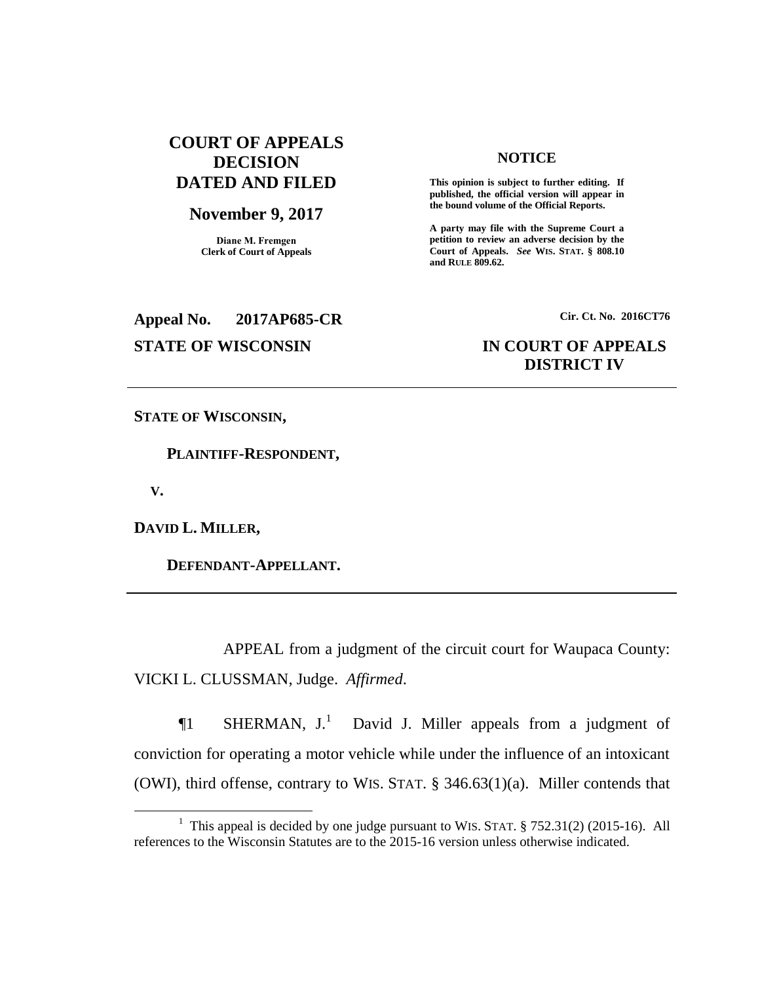## **COURT OF APPEALS DECISION DATED AND FILED**

### **November 9, 2017**

**Diane M. Fremgen Clerk of Court of Appeals**

### **NOTICE**

**This opinion is subject to further editing. If published, the official version will appear in the bound volume of the Official Reports.** 

**A party may file with the Supreme Court a petition to review an adverse decision by the Court of Appeals.** *See* **WIS. STAT. § 808.10 and RULE 809.62.** 

**Appeal No. 2017AP685-CR Cir. Ct. No. 2016CT76 STATE OF WISCONSIN IN COURT OF APPEALS**

# **DISTRICT IV**

**STATE OF WISCONSIN,**

 **PLAINTIFF-RESPONDENT,**

 **V.**

 $\overline{a}$ 

**DAVID L. MILLER,**

 **DEFENDANT-APPELLANT.**

APPEAL from a judgment of the circuit court for Waupaca County: VICKI L. CLUSSMAN, Judge. *Affirmed*.

 $\P1$  SHERMAN,  $J.$ <sup>1</sup> David J. Miller appeals from a judgment of conviction for operating a motor vehicle while under the influence of an intoxicant (OWI), third offense, contrary to WIS. STAT. § 346.63(1)(a). Miller contends that

<sup>&</sup>lt;sup>1</sup> This appeal is decided by one judge pursuant to WIS. STAT.  $\S$  752.31(2) (2015-16). All references to the Wisconsin Statutes are to the 2015-16 version unless otherwise indicated.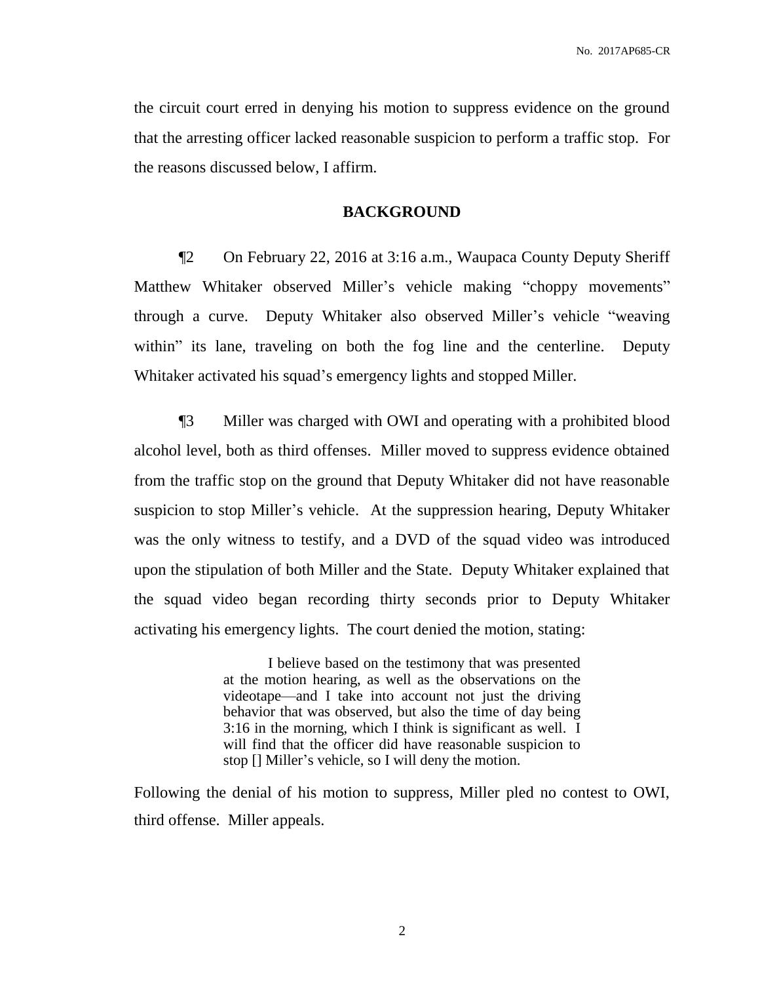the circuit court erred in denying his motion to suppress evidence on the ground that the arresting officer lacked reasonable suspicion to perform a traffic stop. For the reasons discussed below, I affirm.

### **BACKGROUND**

¶2 On February 22, 2016 at 3:16 a.m., Waupaca County Deputy Sheriff Matthew Whitaker observed Miller's vehicle making "choppy movements" through a curve. Deputy Whitaker also observed Miller's vehicle "weaving within" its lane, traveling on both the fog line and the centerline. Deputy Whitaker activated his squad's emergency lights and stopped Miller.

¶3 Miller was charged with OWI and operating with a prohibited blood alcohol level, both as third offenses. Miller moved to suppress evidence obtained from the traffic stop on the ground that Deputy Whitaker did not have reasonable suspicion to stop Miller's vehicle. At the suppression hearing, Deputy Whitaker was the only witness to testify, and a DVD of the squad video was introduced upon the stipulation of both Miller and the State. Deputy Whitaker explained that the squad video began recording thirty seconds prior to Deputy Whitaker activating his emergency lights. The court denied the motion, stating:

> I believe based on the testimony that was presented at the motion hearing, as well as the observations on the videotape—and I take into account not just the driving behavior that was observed, but also the time of day being 3:16 in the morning, which I think is significant as well. I will find that the officer did have reasonable suspicion to stop [] Miller's vehicle, so I will deny the motion.

Following the denial of his motion to suppress, Miller pled no contest to OWI, third offense. Miller appeals.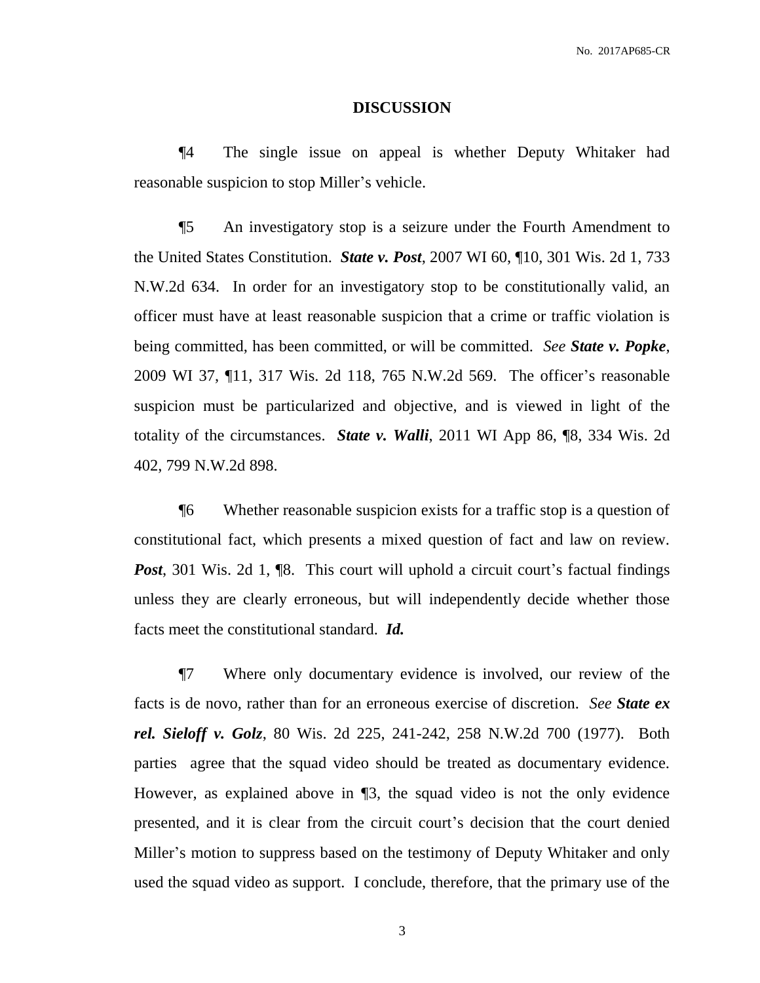#### **DISCUSSION**

¶4 The single issue on appeal is whether Deputy Whitaker had reasonable suspicion to stop Miller's vehicle.

¶5 An investigatory stop is a seizure under the Fourth Amendment to the United States Constitution. *State v. Post*, 2007 WI 60, ¶10, 301 Wis. 2d 1, 733 N.W.2d 634. In order for an investigatory stop to be constitutionally valid, an officer must have at least reasonable suspicion that a crime or traffic violation is being committed, has been committed, or will be committed. *See State v. Popke*, 2009 WI 37, ¶11, 317 Wis. 2d 118, 765 N.W.2d 569. The officer's reasonable suspicion must be particularized and objective, and is viewed in light of the totality of the circumstances. *State v. Walli*, 2011 WI App 86, ¶8, 334 Wis. 2d 402, 799 N.W.2d 898.

¶6 Whether reasonable suspicion exists for a traffic stop is a question of constitutional fact, which presents a mixed question of fact and law on review. **Post**, 301 Wis. 2d 1,  $\mathbb{R}$ . This court will uphold a circuit court's factual findings unless they are clearly erroneous, but will independently decide whether those facts meet the constitutional standard. *Id.*

¶7 Where only documentary evidence is involved, our review of the facts is de novo, rather than for an erroneous exercise of discretion. *See State ex rel. Sieloff v. Golz*, 80 Wis. 2d 225, 241-242, 258 N.W.2d 700 (1977). Both parties agree that the squad video should be treated as documentary evidence. However, as explained above in ¶3, the squad video is not the only evidence presented, and it is clear from the circuit court's decision that the court denied Miller's motion to suppress based on the testimony of Deputy Whitaker and only used the squad video as support. I conclude, therefore, that the primary use of the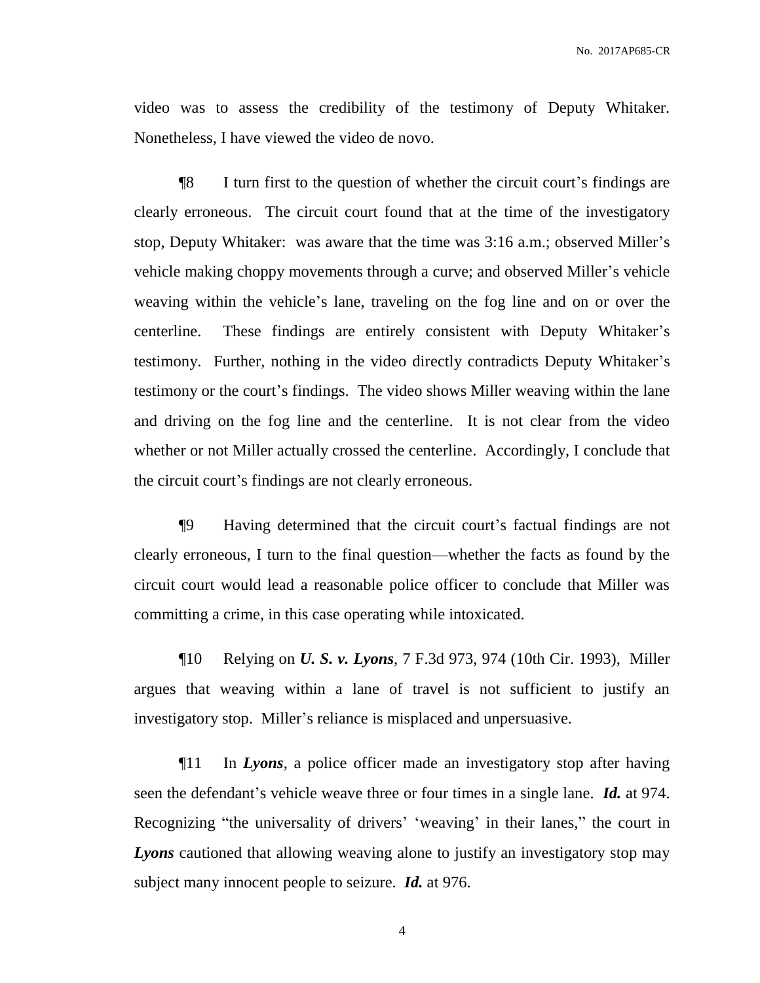video was to assess the credibility of the testimony of Deputy Whitaker. Nonetheless, I have viewed the video de novo.

¶8 I turn first to the question of whether the circuit court's findings are clearly erroneous. The circuit court found that at the time of the investigatory stop, Deputy Whitaker: was aware that the time was 3:16 a.m.; observed Miller's vehicle making choppy movements through a curve; and observed Miller's vehicle weaving within the vehicle's lane, traveling on the fog line and on or over the centerline. These findings are entirely consistent with Deputy Whitaker's testimony. Further, nothing in the video directly contradicts Deputy Whitaker's testimony or the court's findings. The video shows Miller weaving within the lane and driving on the fog line and the centerline. It is not clear from the video whether or not Miller actually crossed the centerline. Accordingly, I conclude that the circuit court's findings are not clearly erroneous.

¶9 Having determined that the circuit court's factual findings are not clearly erroneous, I turn to the final question—whether the facts as found by the circuit court would lead a reasonable police officer to conclude that Miller was committing a crime, in this case operating while intoxicated.

¶10 Relying on *U. S. v. Lyons*, 7 F.3d 973, 974 (10th Cir. 1993), Miller argues that weaving within a lane of travel is not sufficient to justify an investigatory stop. Miller's reliance is misplaced and unpersuasive.

¶11 In *Lyons*, a police officer made an investigatory stop after having seen the defendant's vehicle weave three or four times in a single lane. *Id.* at 974. Recognizing "the universality of drivers' 'weaving' in their lanes," the court in *Lyons* cautioned that allowing weaving alone to justify an investigatory stop may subject many innocent people to seizure. *Id.* at 976.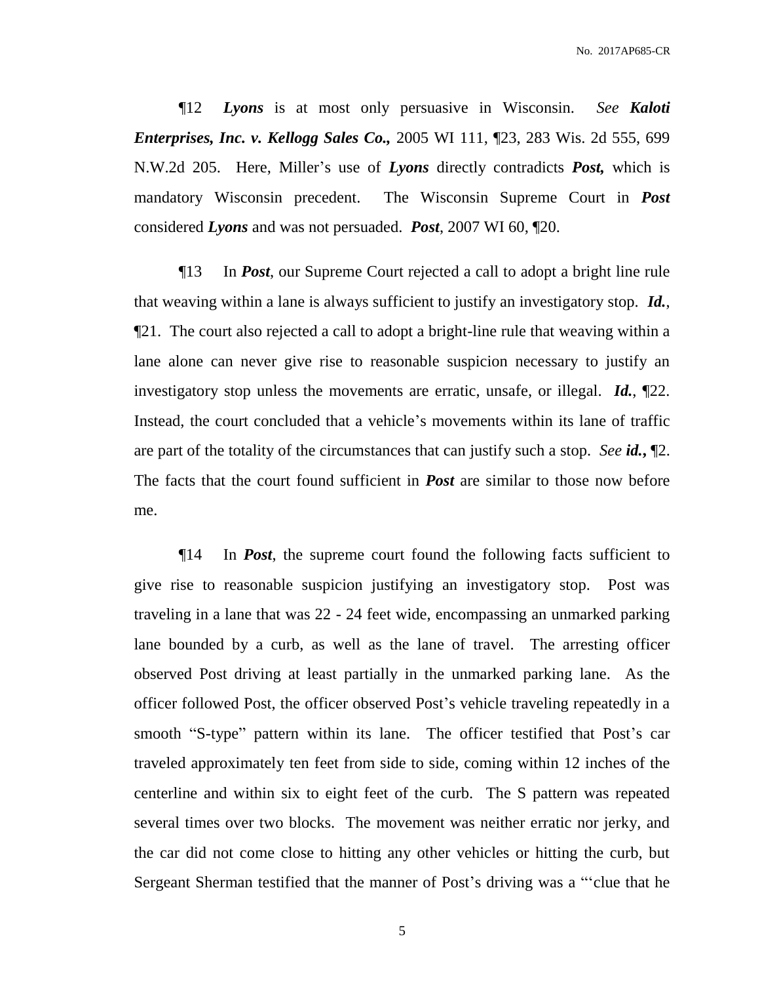No. 2017AP685-CR

¶12 *Lyons* is at most only persuasive in Wisconsin. *See Kaloti Enterprises, Inc. v. Kellogg Sales Co.,* 2005 WI 111, ¶23, 283 Wis. 2d 555, 699 N.W.2d 205. Here, Miller's use of *Lyons* directly contradicts *Post,* which is mandatory Wisconsin precedent. The Wisconsin Supreme Court in *Post* considered *Lyons* and was not persuaded. *Post*, 2007 WI 60, ¶20.

¶13 In *Post*, our Supreme Court rejected a call to adopt a bright line rule that weaving within a lane is always sufficient to justify an investigatory stop. *Id.*, ¶21. The court also rejected a call to adopt a bright-line rule that weaving within a lane alone can never give rise to reasonable suspicion necessary to justify an investigatory stop unless the movements are erratic, unsafe, or illegal. *Id.*, ¶22. Instead, the court concluded that a vehicle's movements within its lane of traffic are part of the totality of the circumstances that can justify such a stop. *See id.***,** ¶2. The facts that the court found sufficient in *Post* are similar to those now before me.

¶14 In *Post*, the supreme court found the following facts sufficient to give rise to reasonable suspicion justifying an investigatory stop. Post was traveling in a lane that was 22 - 24 feet wide, encompassing an unmarked parking lane bounded by a curb, as well as the lane of travel. The arresting officer observed Post driving at least partially in the unmarked parking lane. As the officer followed Post, the officer observed Post's vehicle traveling repeatedly in a smooth "S-type" pattern within its lane. The officer testified that Post's car traveled approximately ten feet from side to side, coming within 12 inches of the centerline and within six to eight feet of the curb. The S pattern was repeated several times over two blocks. The movement was neither erratic nor jerky, and the car did not come close to hitting any other vehicles or hitting the curb, but Sergeant Sherman testified that the manner of Post's driving was a "'clue that he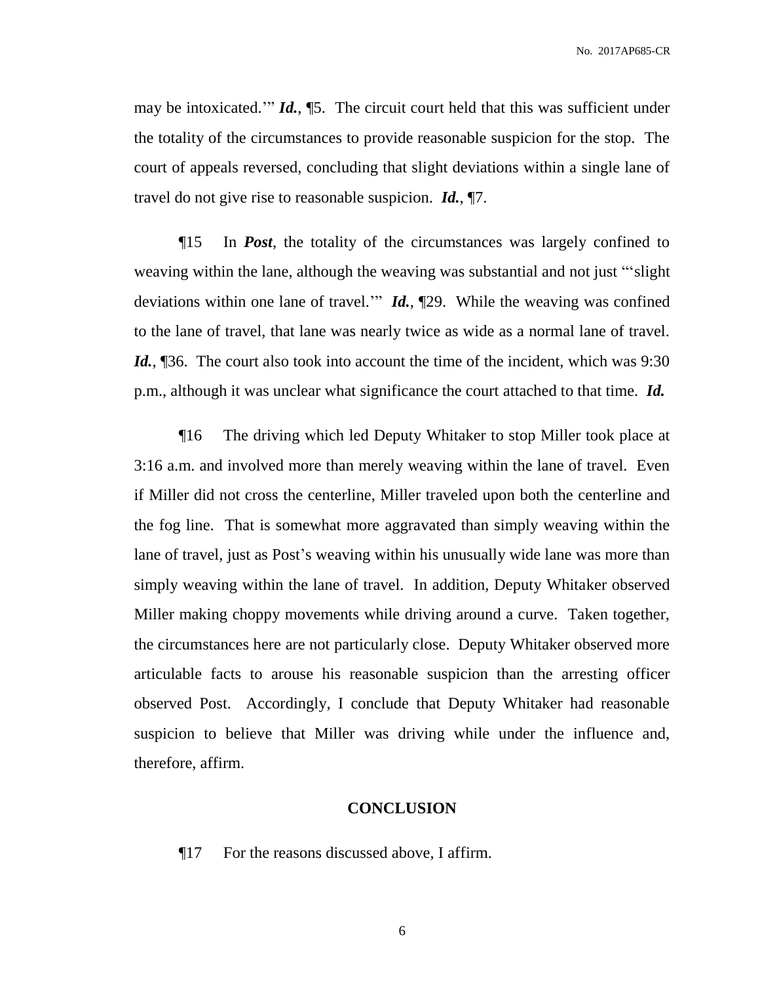No. 2017AP685-CR

may be intoxicated.'" *Id.*, ¶5. The circuit court held that this was sufficient under the totality of the circumstances to provide reasonable suspicion for the stop. The court of appeals reversed, concluding that slight deviations within a single lane of travel do not give rise to reasonable suspicion. *Id.*, ¶7.

¶15 In *Post*, the totality of the circumstances was largely confined to weaving within the lane, although the weaving was substantial and not just "'slight deviations within one lane of travel.'" *Id.*, ¶29. While the weaving was confined to the lane of travel, that lane was nearly twice as wide as a normal lane of travel. *Id.*, [36. The court also took into account the time of the incident, which was 9:30 p.m., although it was unclear what significance the court attached to that time. *Id.*

¶16 The driving which led Deputy Whitaker to stop Miller took place at 3:16 a.m. and involved more than merely weaving within the lane of travel. Even if Miller did not cross the centerline, Miller traveled upon both the centerline and the fog line. That is somewhat more aggravated than simply weaving within the lane of travel, just as Post's weaving within his unusually wide lane was more than simply weaving within the lane of travel. In addition, Deputy Whitaker observed Miller making choppy movements while driving around a curve. Taken together, the circumstances here are not particularly close. Deputy Whitaker observed more articulable facts to arouse his reasonable suspicion than the arresting officer observed Post. Accordingly, I conclude that Deputy Whitaker had reasonable suspicion to believe that Miller was driving while under the influence and, therefore, affirm.

### **CONCLUSION**

¶17 For the reasons discussed above, I affirm.